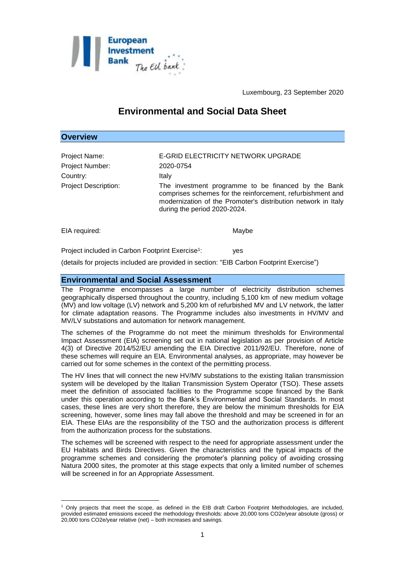

Luxembourg, 23 September 2020

# **Environmental and Social Data Sheet**

## **Overview**

| Project Name:               | E-GRID ELECTRICITY NETWORK UPGRADE                                                                                                                                                                                 |
|-----------------------------|--------------------------------------------------------------------------------------------------------------------------------------------------------------------------------------------------------------------|
| Project Number:             | 2020-0754                                                                                                                                                                                                          |
| Country:                    | Italy                                                                                                                                                                                                              |
| <b>Project Description:</b> | The investment programme to be financed by the Bank<br>comprises schemes for the reinforcement, refurbishment and<br>modernization of the Promoter's distribution network in Italy<br>during the period 2020-2024. |

EIA required: Maybe

<u>.</u>

: yes

Project included in Carbon Footprint Exercise<sup>1</sup>:

(details for projects included are provided in section: "EIB Carbon Footprint Exercise")

#### **Environmental and Social Assessment**

The Programme encompasses a large number of electricity distribution schemes geographically dispersed throughout the country, including 5,100 km of new medium voltage (MV) and low voltage (LV) network and 5,200 km of refurbished MV and LV network, the latter for climate adaptation reasons. The Programme includes also investments in HV/MV and MV/LV substations and automation for network management.

The schemes of the Programme do not meet the minimum thresholds for Environmental Impact Assessment (EIA) screening set out in national legislation as per provision of Article 4(3) of Directive 2014/52/EU amending the EIA Directive 2011/92/EU. Therefore, none of these schemes will require an EIA. Environmental analyses, as appropriate, may however be carried out for some schemes in the context of the permitting process.

The HV lines that will connect the new HV/MV substations to the existing Italian transmission system will be developed by the Italian Transmission System Operator (TSO). These assets meet the definition of associated facilities to the Programme scope financed by the Bank under this operation according to the Bank's Environmental and Social Standards. In most cases, these lines are very short therefore, they are below the minimum thresholds for EIA screening, however, some lines may fall above the threshold and may be screened in for an EIA. These EIAs are the responsibility of the TSO and the authorization process is different from the authorization process for the substations.

The schemes will be screened with respect to the need for appropriate assessment under the EU Habitats and Birds Directives. Given the characteristics and the typical impacts of the programme schemes and considering the promoter's planning policy of avoiding crossing Natura 2000 sites, the promoter at this stage expects that only a limited number of schemes will be screened in for an Appropriate Assessment.

<sup>1</sup> Only projects that meet the scope, as defined in the EIB draft Carbon Footprint Methodologies, are included, provided estimated emissions exceed the methodology thresholds: above 20,000 tons CO2e/year absolute (gross) or 20,000 tons CO2e/year relative (net) – both increases and savings.